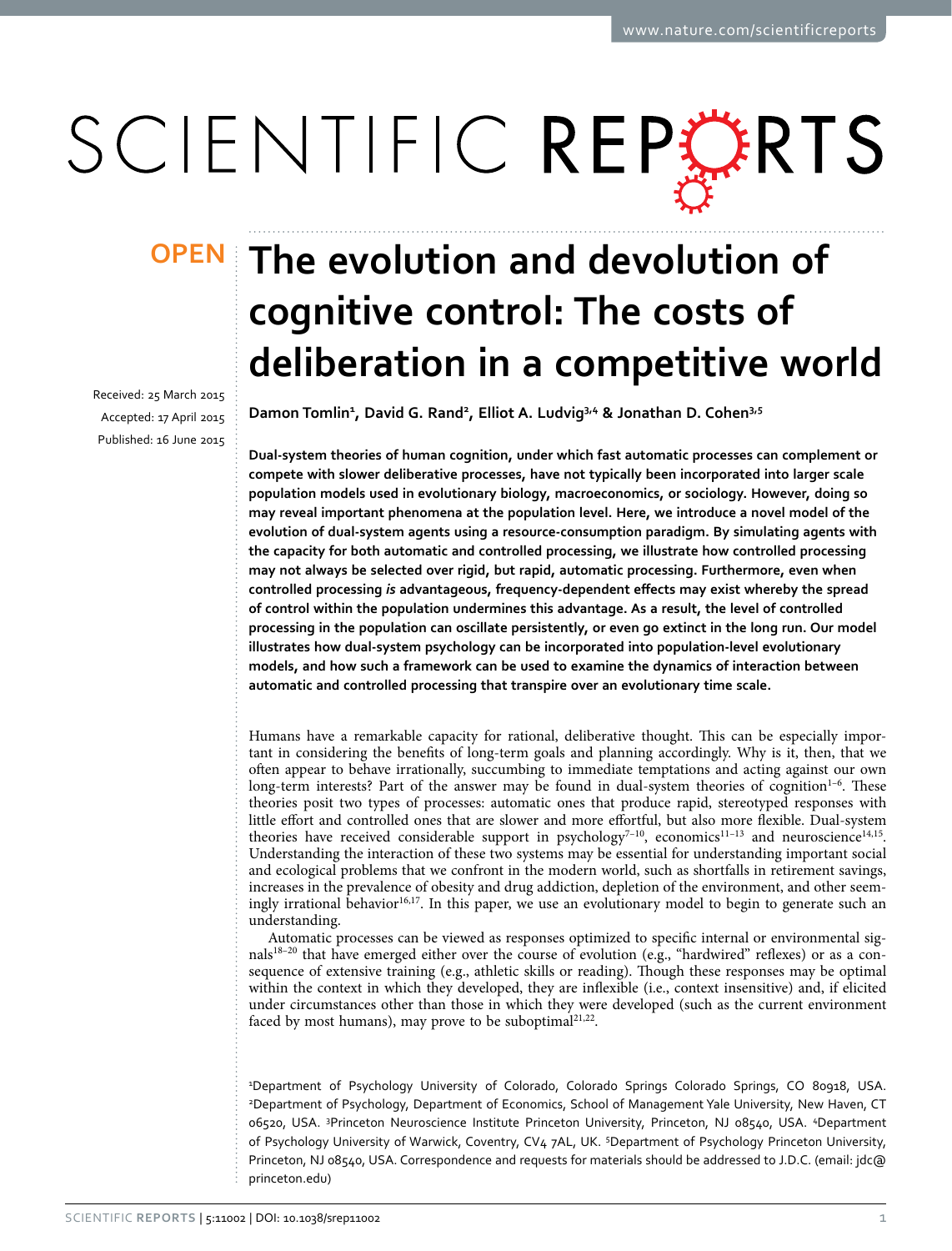# SCIENTIFIC REPERTS

received: 25 March 2015 accepted: 17 April 2015 Published: 16 June 2015

## **The evolution and devolution of OPENcognitive control: The costs of deliberation in a competitive world**

**Damon Tomlin1 , David G. Rand2 , Elliot A. Ludvig3,4 & Jonathan D. Cohen3,5**

**Dual-system theories of human cognition, under which fast automatic processes can complement or compete with slower deliberative processes, have not typically been incorporated into larger scale population models used in evolutionary biology, macroeconomics, or sociology. However, doing so may reveal important phenomena at the population level. Here, we introduce a novel model of the evolution of dual-system agents using a resource-consumption paradigm. By simulating agents with the capacity for both automatic and controlled processing, we illustrate how controlled processing may not always be selected over rigid, but rapid, automatic processing. Furthermore, even when controlled processing** *is* **advantageous, frequency-dependent effects may exist whereby the spread of control within the population undermines this advantage. As a result, the level of controlled processing in the population can oscillate persistently, or even go extinct in the long run. Our model illustrates how dual-system psychology can be incorporated into population-level evolutionary models, and how such a framework can be used to examine the dynamics of interaction between automatic and controlled processing that transpire over an evolutionary time scale.**

Humans have a remarkable capacity for rational, deliberative thought. This can be especially important in considering the benefits of long-term goals and planning accordingly. Why is it, then, that we often appear to behave irrationally, succumbing to immediate temptations and acting against our own long-term interests? Part of the answer may be found in dual-system theories of cognition<sup>1-6</sup>. These theories posit two types of processes: automatic ones that produce rapid, stereotyped responses with little effort and controlled ones that are slower and more effortful, but also more flexible. Dual-system theories have received considerable support in psychology<sup>7-10</sup>, economics<sup>11-13</sup> and neuroscience<sup>14,[15](#page-9-4)</sup>. Understanding the interaction of these two systems may be essential for understanding important social and ecological problems that we confront in the modern world, such as shortfalls in retirement savings, increases in the prevalence of obesity and drug addiction, depletion of the environment, and other seem-ingly irrational behavior<sup>[16,](#page-9-5)17</sup>. In this paper, we use an evolutionary model to begin to generate such an understanding.

Automatic processes can be viewed as responses optimized to specific internal or environmental signals[18–20](#page-9-7) that have emerged either over the course of evolution (e.g., "hardwired" reflexes) or as a consequence of extensive training (e.g., athletic skills or reading). Though these responses may be optimal within the context in which they developed, they are inflexible (i.e., context insensitive) and, if elicited under circumstances other than those in which they were developed (such as the current environment faced by most humans), may prove to be suboptimal<sup>[21,](#page-9-8)[22](#page-9-9)</sup>.

1 Department of Psychology University of Colorado, Colorado Springs Colorado Springs, CO 80918, USA. 2 Department of Psychology, Department of Economics, School of Management Yale University, New Haven, CT 06520, USA. <sup>3</sup>Princeton Neuroscience Institute Princeton University, Princeton, NJ 08540, USA. <sup>4</sup>Department of Psychology University of Warwick, Coventry, CV4 7AL, UK. 5Department of Psychology Princeton University, Princeton, NJ 08540, USA. Correspondence and requests for materials should be addressed to J.D.C. (email: [jdc@](mailto:jdc@princeton.edu) [princeton.edu\)](mailto:jdc@princeton.edu)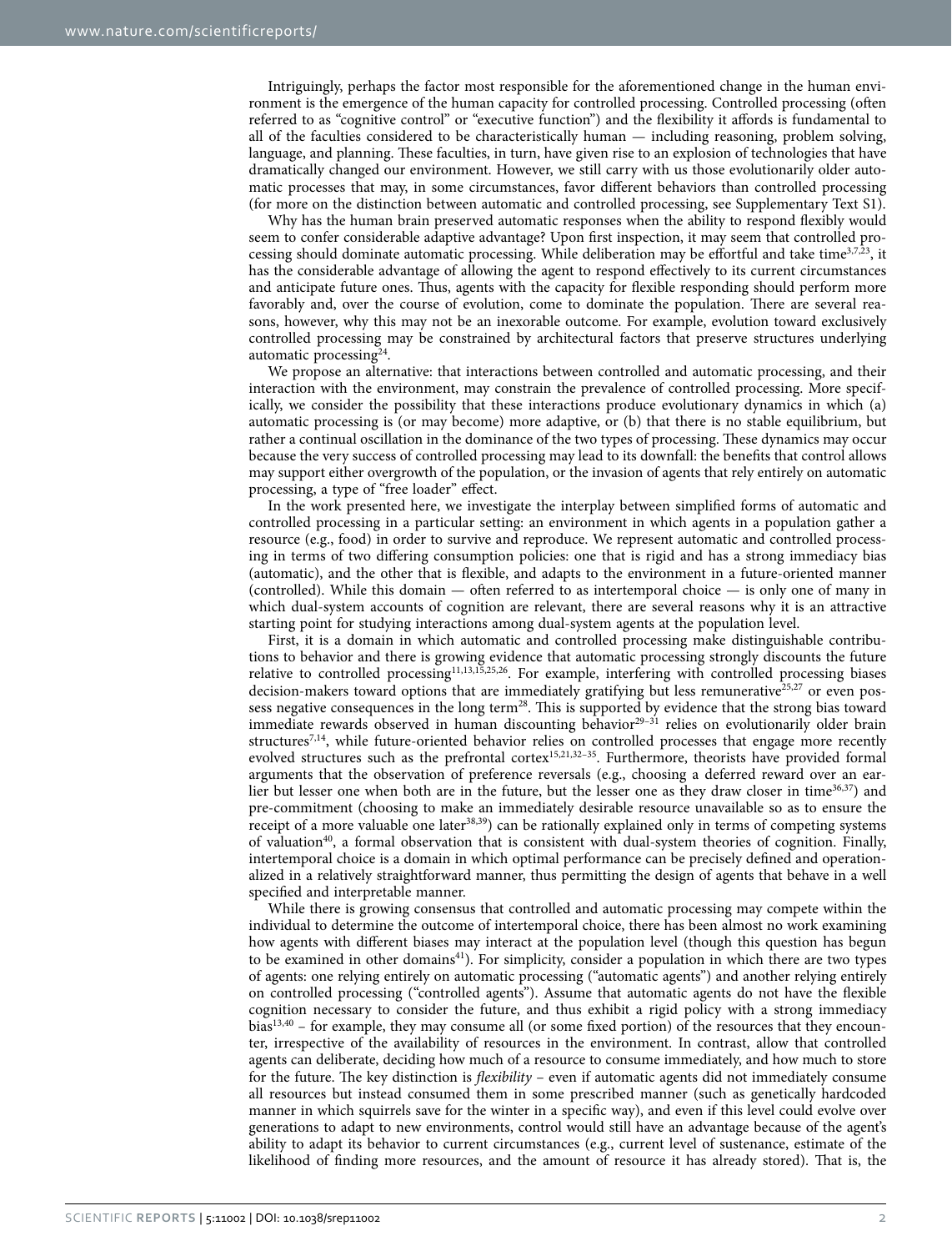Intriguingly, perhaps the factor most responsible for the aforementioned change in the human environment is the emergence of the human capacity for controlled processing. Controlled processing (often referred to as "cognitive control" or "executive function") and the flexibility it affords is fundamental to all of the faculties considered to be characteristically human — including reasoning, problem solving, language, and planning. These faculties, in turn, have given rise to an explosion of technologies that have dramatically changed our environment. However, we still carry with us those evolutionarily older automatic processes that may, in some circumstances, favor different behaviors than controlled processing (for more on the distinction between automatic and controlled processing, see Supplementary Text S1).

Why has the human brain preserved automatic responses when the ability to respond flexibly would seem to confer considerable adaptive advantage? Upon first inspection, it may seem that controlled processing should dominate automatic processing. While deliberation may be effortful and take time[3,](#page-9-10)[7](#page-9-1),[23](#page-9-11), it has the considerable advantage of allowing the agent to respond effectively to its current circumstances and anticipate future ones. Thus, agents with the capacity for flexible responding should perform more favorably and, over the course of evolution, come to dominate the population. There are several reasons, however, why this may not be an inexorable outcome. For example, evolution toward exclusively controlled processing may be constrained by architectural factors that preserve structures underlying automatic processin[g24](#page-9-12).

We propose an alternative: that interactions between controlled and automatic processing, and their interaction with the environment, may constrain the prevalence of controlled processing. More specifically, we consider the possibility that these interactions produce evolutionary dynamics in which (a) automatic processing is (or may become) more adaptive, or (b) that there is no stable equilibrium, but rather a continual oscillation in the dominance of the two types of processing. These dynamics may occur because the very success of controlled processing may lead to its downfall: the benefits that control allows may support either overgrowth of the population, or the invasion of agents that rely entirely on automatic processing, a type of "free loader" effect.

In the work presented here, we investigate the interplay between simplified forms of automatic and controlled processing in a particular setting: an environment in which agents in a population gather a resource (e.g., food) in order to survive and reproduce. We represent automatic and controlled processing in terms of two differing consumption policies: one that is rigid and has a strong immediacy bias (automatic), and the other that is flexible, and adapts to the environment in a future-oriented manner (controlled). While this domain — often referred to as intertemporal choice — is only one of many in which dual-system accounts of cognition are relevant, there are several reasons why it is an attractive starting point for studying interactions among dual-system agents at the population level.

First, it is a domain in which automatic and controlled processing make distinguishable contributions to behavior and there is growing evidence that automatic processing strongly discounts the future relative to controlled processin[g11](#page-9-2),[13,](#page-9-13)[15](#page-9-4)[,25](#page-10-0),[26.](#page-10-1) For example, interfering with controlled processing biases decision-makers toward options that are immediately gratifying but less remunerative<sup>25[,27](#page-10-2)</sup> or even possess negative consequences in the long term<sup>28</sup>. This is supported by evidence that the strong bias toward immediate rewards observed in human discounting behavior<sup>29-31</sup> relies on evolutionarily older brain structures<sup>[7,](#page-9-1)14</sup>, while future-oriented behavior relies on controlled processes that engage more recently evolved structures such as the prefrontal cortex<sup>[15](#page-9-4),[21](#page-9-8)[,32–35](#page-10-5)</sup>. Furthermore, theorists have provided formal arguments that the observation of preference reversals (e.g., choosing a deferred reward over an earlier but lesser one when both are in the future, but the lesser one as they draw closer in time[36,](#page-10-6)[37\)](#page-10-7) and pre-commitment (choosing to make an immediately desirable resource unavailable so as to ensure the receipt of a more valuable one later[38,](#page-10-8)[39\)](#page-10-9) can be rationally explained only in terms of competing systems of valuatio[n40](#page-10-10), a formal observation that is consistent with dual-system theories of cognition. Finally, intertemporal choice is a domain in which optimal performance can be precisely defined and operationalized in a relatively straightforward manner, thus permitting the design of agents that behave in a well specified and interpretable manner.

While there is growing consensus that controlled and automatic processing may compete within the individual to determine the outcome of intertemporal choice, there has been almost no work examining how agents with different biases may interact at the population level (though this question has begun to be examined in other domains<sup>41</sup>). For simplicity, consider a population in which there are two types of agents: one relying entirely on automatic processing ("automatic agents") and another relying entirely on controlled processing ("controlled agents"). Assume that automatic agents do not have the flexible cognition necessary to consider the future, and thus exhibit a rigid policy with a strong immediacy  $bias<sup>13,40</sup>$  $bias<sup>13,40</sup>$  $bias<sup>13,40</sup>$  – for example, they may consume all (or some fixed portion) of the resources that they encounter, irrespective of the availability of resources in the environment. In contrast, allow that controlled agents can deliberate, deciding how much of a resource to consume immediately, and how much to store for the future. The key distinction is *flexibility* – even if automatic agents did not immediately consume all resources but instead consumed them in some prescribed manner (such as genetically hardcoded manner in which squirrels save for the winter in a specific way), and even if this level could evolve over generations to adapt to new environments, control would still have an advantage because of the agent's ability to adapt its behavior to current circumstances (e.g., current level of sustenance, estimate of the likelihood of finding more resources, and the amount of resource it has already stored). That is, the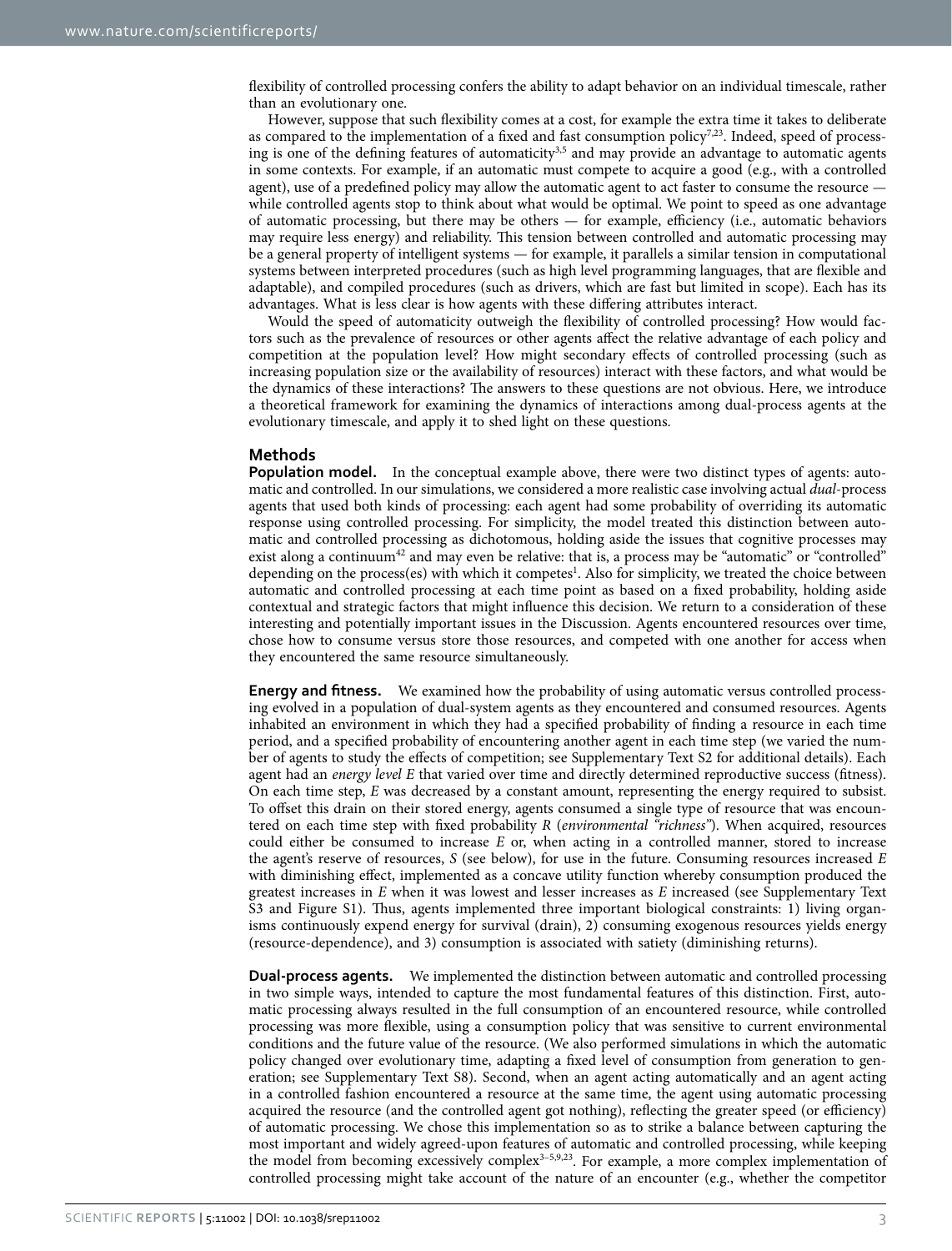flexibility of controlled processing confers the ability to adapt behavior on an individual timescale, rather than an evolutionary one.

However, suppose that such flexibility comes at a cost, for example the extra time it takes to deliberate as compared to the implementation of a fixed and fast consumption policy $7,23$ . Indeed, speed of processing is one of the defining features of automaticity<sup>3,5</sup> and may provide an advantage to automatic agents in some contexts. For example, if an automatic must compete to acquire a good (e.g., with a controlled agent), use of a predefined policy may allow the automatic agent to act faster to consume the resource while controlled agents stop to think about what would be optimal. We point to speed as one advantage of automatic processing, but there may be others — for example, efficiency (i.e., automatic behaviors may require less energy) and reliability. This tension between controlled and automatic processing may be a general property of intelligent systems — for example, it parallels a similar tension in computational systems between interpreted procedures (such as high level programming languages, that are flexible and adaptable), and compiled procedures (such as drivers, which are fast but limited in scope). Each has its advantages. What is less clear is how agents with these differing attributes interact.

Would the speed of automaticity outweigh the flexibility of controlled processing? How would factors such as the prevalence of resources or other agents affect the relative advantage of each policy and competition at the population level? How might secondary effects of controlled processing (such as increasing population size or the availability of resources) interact with these factors, and what would be the dynamics of these interactions? The answers to these questions are not obvious. Here, we introduce a theoretical framework for examining the dynamics of interactions among dual-process agents at the evolutionary timescale, and apply it to shed light on these questions.

### **Methods**

**Population model.** In the conceptual example above, there were two distinct types of agents: automatic and controlled. In our simulations, we considered a more realistic case involving actual *dual*-process agents that used both kinds of processing: each agent had some probability of overriding its automatic response using controlled processing. For simplicity, the model treated this distinction between automatic and controlled processing as dichotomous, holding aside the issues that cognitive processes may exist along a continuum<sup>42</sup> and may even be relative: that is, a process may be "automatic" or "controlled" depending on the process(es) with which it competes<sup>1</sup>. Also for simplicity, we treated the choice between automatic and controlled processing at each time point as based on a fixed probability, holding aside contextual and strategic factors that might influence this decision. We return to a consideration of these interesting and potentially important issues in the Discussion. Agents encountered resources over time, chose how to consume versus store those resources, and competed with one another for access when they encountered the same resource simultaneously.

**Energy and fitness.** We examined how the probability of using automatic versus controlled processing evolved in a population of dual-system agents as they encountered and consumed resources. Agents inhabited an environment in which they had a specified probability of finding a resource in each time period, and a specified probability of encountering another agent in each time step (we varied the number of agents to study the effects of competition; see Supplementary Text S2 for additional details). Each agent had an *energy level E* that varied over time and directly determined reproductive success (fitness). On each time step, *E* was decreased by a constant amount, representing the energy required to subsist. To offset this drain on their stored energy, agents consumed a single type of resource that was encountered on each time step with fixed probability *R* (*environmental "richness"*). When acquired, resources could either be consumed to increase *E* or, when acting in a controlled manner, stored to increase the agent's reserve of resources, *S* (see below), for use in the future. Consuming resources increased *E* with diminishing effect, implemented as a concave utility function whereby consumption produced the greatest increases in *E* when it was lowest and lesser increases as *E* increased (see Supplementary Text S3 and Figure S1). Thus, agents implemented three important biological constraints: 1) living organisms continuously expend energy for survival (drain), 2) consuming exogenous resources yields energy (resource-dependence), and 3) consumption is associated with satiety (diminishing returns).

**Dual-process agents.** We implemented the distinction between automatic and controlled processing in two simple ways, intended to capture the most fundamental features of this distinction. First, automatic processing always resulted in the full consumption of an encountered resource, while controlled processing was more flexible, using a consumption policy that was sensitive to current environmental conditions and the future value of the resource. (We also performed simulations in which the automatic policy changed over evolutionary time, adapting a fixed level of consumption from generation to generation; see Supplementary Text S8). Second, when an agent acting automatically and an agent acting in a controlled fashion encountered a resource at the same time, the agent using automatic processing acquired the resource (and the controlled agent got nothing), reflecting the greater speed (or efficiency) of automatic processing. We chose this implementation so as to strike a balance between capturing the most important and widely agreed-upon features of automatic and controlled processing, while keeping the model from becoming excessively complex $3-5,9,23$  $3-5,9,23$  $3-5,9,23$  $3-5,9,23$ . For example, a more complex implementation of controlled processing might take account of the nature of an encounter (e.g., whether the competitor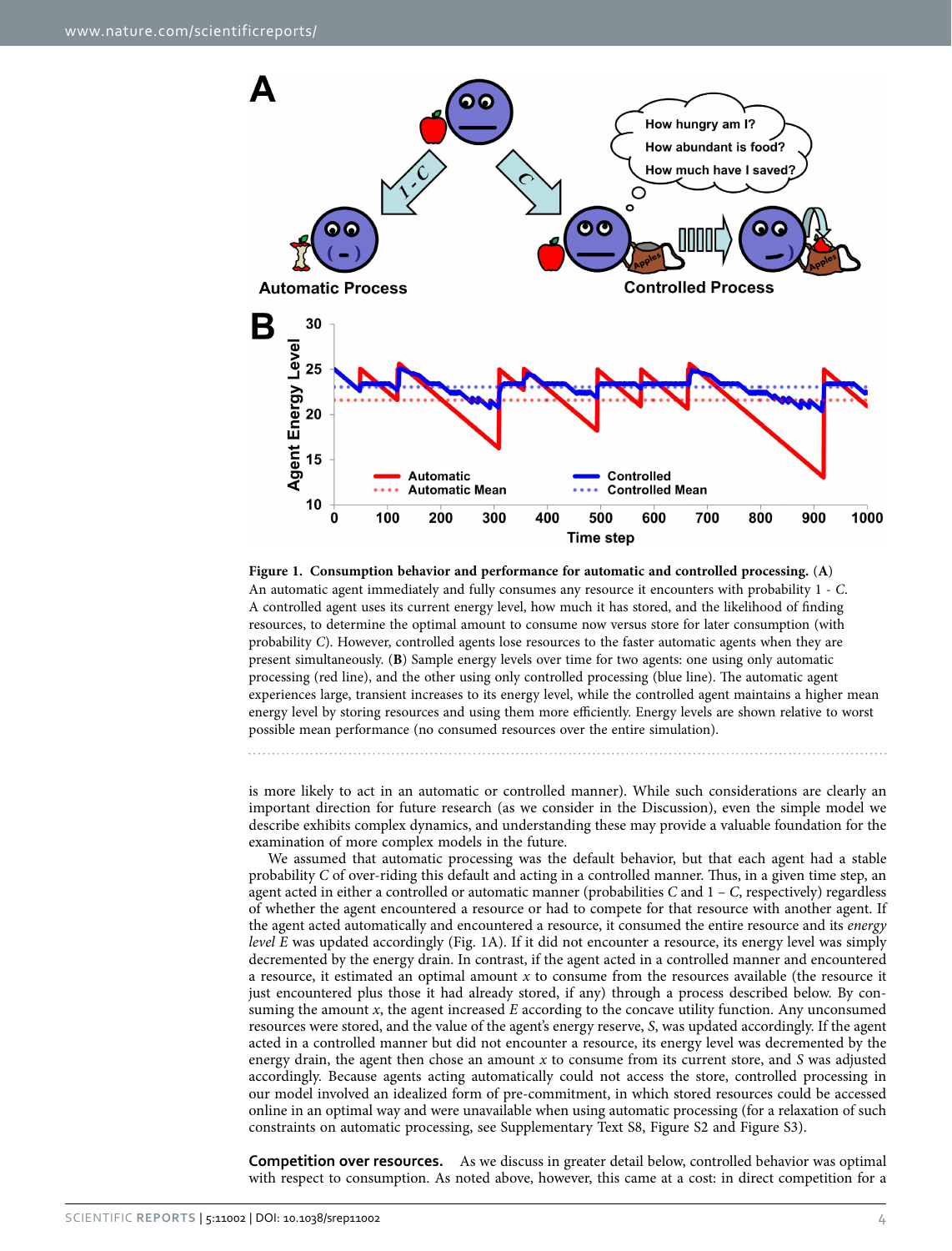

<span id="page-3-0"></span>**Figure 1. Consumption behavior and performance for automatic and controlled processing.** (**A**) An automatic agent immediately and fully consumes any resource it encounters with probability 1 - *C*. A controlled agent uses its current energy level, how much it has stored, and the likelihood of finding resources, to determine the optimal amount to consume now versus store for later consumption (with probability *C*). However, controlled agents lose resources to the faster automatic agents when they are present simultaneously. (**B**) Sample energy levels over time for two agents: one using only automatic processing (red line), and the other using only controlled processing (blue line). The automatic agent experiences large, transient increases to its energy level, while the controlled agent maintains a higher mean energy level by storing resources and using them more efficiently. Energy levels are shown relative to worst possible mean performance (no consumed resources over the entire simulation).

is more likely to act in an automatic or controlled manner). While such considerations are clearly an important direction for future research (as we consider in the Discussion), even the simple model we describe exhibits complex dynamics, and understanding these may provide a valuable foundation for the examination of more complex models in the future.

We assumed that automatic processing was the default behavior, but that each agent had a stable probability *C* of over-riding this default and acting in a controlled manner. Thus, in a given time step, an agent acted in either a controlled or automatic manner (probabilities *C* and 1 – *C*, respectively) regardless of whether the agent encountered a resource or had to compete for that resource with another agent. If the agent acted automatically and encountered a resource, it consumed the entire resource and its *energy level E* was updated accordingly ([Fig. 1A\)](#page-3-0). If it did not encounter a resource, its energy level was simply decremented by the energy drain. In contrast, if the agent acted in a controlled manner and encountered a resource, it estimated an optimal amount *x* to consume from the resources available (the resource it just encountered plus those it had already stored, if any) through a process described below. By consuming the amount *x*, the agent increased *E* according to the concave utility function. Any unconsumed resources were stored, and the value of the agent's energy reserve, *S*, was updated accordingly. If the agent acted in a controlled manner but did not encounter a resource, its energy level was decremented by the energy drain, the agent then chose an amount *x* to consume from its current store, and *S* was adjusted accordingly. Because agents acting automatically could not access the store, controlled processing in our model involved an idealized form of pre-commitment, in which stored resources could be accessed online in an optimal way and were unavailable when using automatic processing (for a relaxation of such constraints on automatic processing, see Supplementary Text S8, Figure S2 and Figure S3).

**Competition over resources.** As we discuss in greater detail below, controlled behavior was optimal with respect to consumption. As noted above, however, this came at a cost: in direct competition for a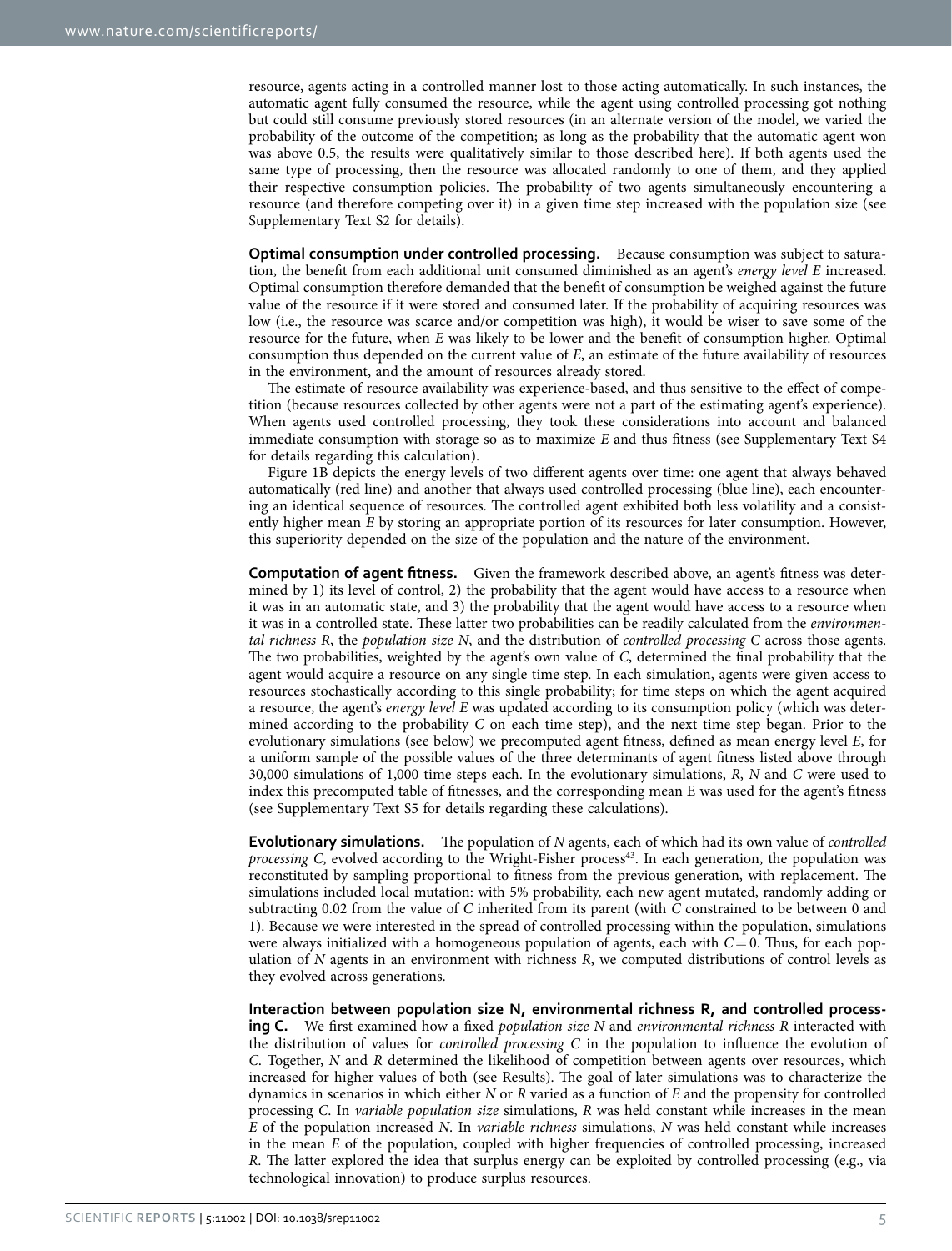resource, agents acting in a controlled manner lost to those acting automatically. In such instances, the automatic agent fully consumed the resource, while the agent using controlled processing got nothing but could still consume previously stored resources (in an alternate version of the model, we varied the probability of the outcome of the competition; as long as the probability that the automatic agent won was above 0.5, the results were qualitatively similar to those described here). If both agents used the same type of processing, then the resource was allocated randomly to one of them, and they applied their respective consumption policies. The probability of two agents simultaneously encountering a resource (and therefore competing over it) in a given time step increased with the population size (see Supplementary Text S2 for details).

**Optimal consumption under controlled processing.** Because consumption was subject to saturation, the benefit from each additional unit consumed diminished as an agent's *energy level E* increased. Optimal consumption therefore demanded that the benefit of consumption be weighed against the future value of the resource if it were stored and consumed later. If the probability of acquiring resources was low (i.e., the resource was scarce and/or competition was high), it would be wiser to save some of the resource for the future, when *E* was likely to be lower and the benefit of consumption higher. Optimal consumption thus depended on the current value of *E*, an estimate of the future availability of resources in the environment, and the amount of resources already stored.

The estimate of resource availability was experience-based, and thus sensitive to the effect of competition (because resources collected by other agents were not a part of the estimating agent's experience). When agents used controlled processing, they took these considerations into account and balanced immediate consumption with storage so as to maximize *E* and thus fitness (see Supplementary Text S4 for details regarding this calculation).

[Figure 1B](#page-3-0) depicts the energy levels of two different agents over time: one agent that always behaved automatically (red line) and another that always used controlled processing (blue line), each encountering an identical sequence of resources. The controlled agent exhibited both less volatility and a consistently higher mean *E* by storing an appropriate portion of its resources for later consumption. However, this superiority depended on the size of the population and the nature of the environment.

**Computation of agent fitness.** Given the framework described above, an agent's fitness was determined by 1) its level of control, 2) the probability that the agent would have access to a resource when it was in an automatic state, and 3) the probability that the agent would have access to a resource when it was in a controlled state. These latter two probabilities can be readily calculated from the *environmental richness R*, the *population size N*, and the distribution of *controlled processing C* across those agents. The two probabilities, weighted by the agent's own value of *C*, determined the final probability that the agent would acquire a resource on any single time step. In each simulation, agents were given access to resources stochastically according to this single probability; for time steps on which the agent acquired a resource, the agent's *energy level E* was updated according to its consumption policy (which was determined according to the probability *C* on each time step), and the next time step began. Prior to the evolutionary simulations (see below) we precomputed agent fitness, defined as mean energy level *E*, for a uniform sample of the possible values of the three determinants of agent fitness listed above through 30,000 simulations of 1,000 time steps each. In the evolutionary simulations, *R*, *N* and *C* were used to index this precomputed table of fitnesses, and the corresponding mean E was used for the agent's fitness (see Supplementary Text S5 for details regarding these calculations).

**Evolutionary simulations.** The population of *N* agents, each of which had its own value of *controlled processing C*, evolved according to the Wright-Fisher process<sup>43</sup>. In each generation, the population was reconstituted by sampling proportional to fitness from the previous generation, with replacement. The simulations included local mutation: with 5% probability, each new agent mutated, randomly adding or subtracting 0.02 from the value of *C* inherited from its parent (with *C* constrained to be between 0 and 1). Because we were interested in the spread of controlled processing within the population, simulations were always initialized with a homogeneous population of agents, each with *C*= 0. Thus, for each population of *N* agents in an environment with richness *R*, we computed distributions of control levels as they evolved across generations.

**Interaction between population size N, environmental richness R, and controlled processing C.** We first examined how a fixed *population size N* and *environmental richness R* interacted with the distribution of values for *controlled processing C* in the population to influence the evolution of *C*. Together, *N* and *R* determined the likelihood of competition between agents over resources, which increased for higher values of both (see Results). The goal of later simulations was to characterize the dynamics in scenarios in which either *N* or *R* varied as a function of *E* and the propensity for controlled processing *C*. In *variable population size* simulations, *R* was held constant while increases in the mean *E* of the population increased *N*. In *variable richness* simulations, *N* was held constant while increases in the mean *E* of the population, coupled with higher frequencies of controlled processing, increased *R*. The latter explored the idea that surplus energy can be exploited by controlled processing (e.g., via technological innovation) to produce surplus resources.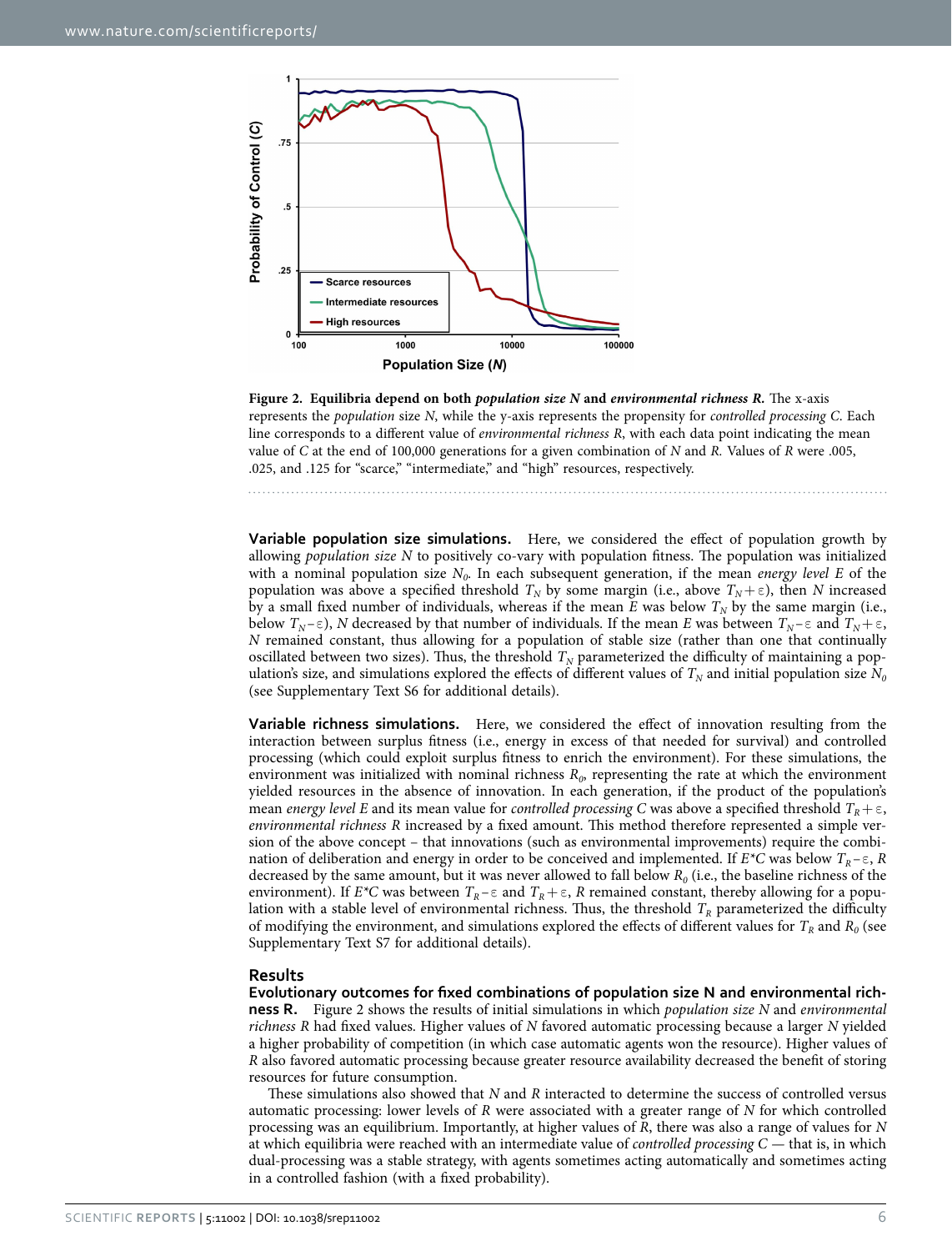

<span id="page-5-0"></span>**Figure 2. Equilibria depend on both** *population size N* **and** *environmental richness R.* The x-axis represents the *population* size *N*, while the y-axis represents the propensity for *controlled processing C*. Each line corresponds to a different value of *environmental richness R*, with each data point indicating the mean value of *C* at the end of 100,000 generations for a given combination of *N* and *R.* Values of *R* were .005, .025, and .125 for "scarce," "intermediate," and "high" resources, respectively.

**Variable population size simulations.** Here, we considered the effect of population growth by allowing *population size N* to positively co-vary with population fitness. The population was initialized with a nominal population size  $N_0$ . In each subsequent generation, if the mean *energy level E* of the population was above a specified threshold  $T_N$  by some margin (i.e., above  $T_N + \epsilon$ ), then *N* increased by a small fixed number of individuals, whereas if the mean  $E$  was below  $T_N$  by the same margin (i.e., below  $T_N - \varepsilon$ ), *N* decreased by that number of individuals. If the mean *E* was between  $T_N - \varepsilon$  and  $T_N + \varepsilon$ , *N* remained constant, thus allowing for a population of stable size (rather than one that continually oscillated between two sizes). Thus, the threshold  $T_N$  parameterized the difficulty of maintaining a population's size, and simulations explored the effects of different values of  $T_N$  and initial population size  $N_0$ (see Supplementary Text S6 for additional details).

**Variable richness simulations.** Here, we considered the effect of innovation resulting from the interaction between surplus fitness (i.e., energy in excess of that needed for survival) and controlled processing (which could exploit surplus fitness to enrich the environment). For these simulations, the environment was initialized with nominal richness  $R_0$ , representing the rate at which the environment yielded resources in the absence of innovation. In each generation, if the product of the population's mean *energy level E* and its mean value for *controlled processing C* was above a specified threshold *TR*+ ε, *environmental richness R* increased by a fixed amount. This method therefore represented a simple version of the above concept – that innovations (such as environmental improvements) require the combination of deliberation and energy in order to be conceived and implemented. If  $E^*C$  was below  $T_R - \epsilon$ , *R* decreased by the same amount, but it was never allowed to fall below *R0* (i.e., the baseline richness of the environment). If  $E^*C$  was between  $T_R - \epsilon$  and  $T_R + \epsilon$ , *R* remained constant, thereby allowing for a population with a stable level of environmental richness. Thus, the threshold  $T_R$  parameterized the difficulty of modifying the environment, and simulations explored the effects of different values for  $T_R$  and  $R_0$  (see Supplementary Text S7 for additional details).

#### **Results**

**Evolutionary outcomes for fixed combinations of population size N and environmental richness R.** [Figure 2](#page-5-0) shows the results of initial simulations in which *population size N* and *environmental richness R* had fixed values. Higher values of *N* favored automatic processing because a larger *N* yielded a higher probability of competition (in which case automatic agents won the resource). Higher values of *R* also favored automatic processing because greater resource availability decreased the benefit of storing resources for future consumption.

These simulations also showed that *N* and *R* interacted to determine the success of controlled versus automatic processing: lower levels of *R* were associated with a greater range of *N* for which controlled processing was an equilibrium. Importantly, at higher values of *R*, there was also a range of values for *N* at which equilibria were reached with an intermediate value of *controlled processing C —* that is, in which dual-processing was a stable strategy, with agents sometimes acting automatically and sometimes acting in a controlled fashion (with a fixed probability).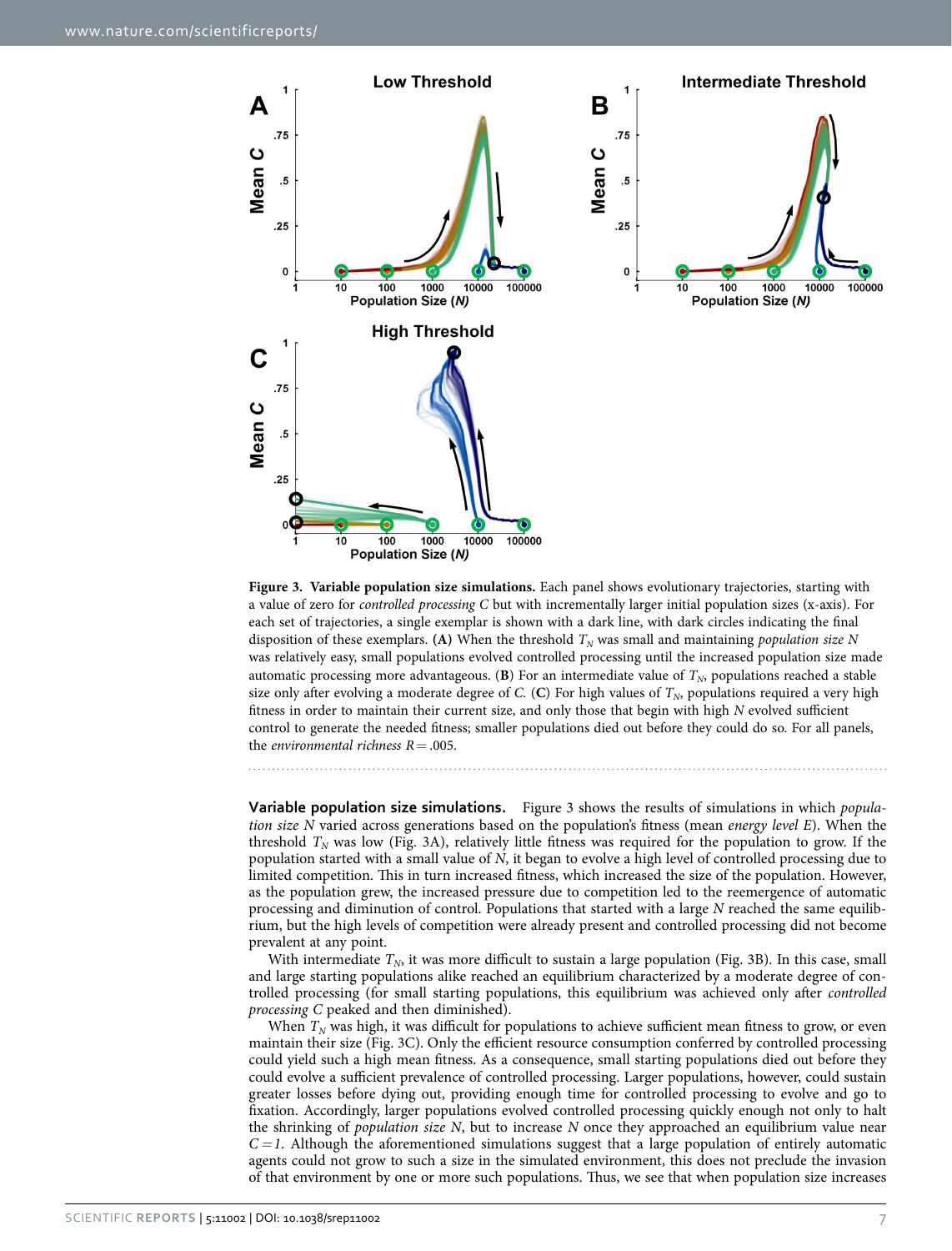

<span id="page-6-0"></span>**Figure 3. Variable population size simulations.** Each panel shows evolutionary trajectories, starting with a value of zero for *controlled processing C* but with incrementally larger initial population sizes (x-axis). For each set of trajectories, a single exemplar is shown with a dark line, with dark circles indicating the final disposition of these exemplars. **(A)** When the threshold  $T_N$  was small and maintaining *population size* N was relatively easy, small populations evolved controlled processing until the increased population size made automatic processing more advantageous. (**B**) For an intermediate value of  $T_N$ , populations reached a stable size only after evolving a moderate degree of  $C$ . (C) For high values of  $T_N$ , populations required a very high fitness in order to maintain their current size, and only those that begin with high *N* evolved sufficient control to generate the needed fitness; smaller populations died out before they could do so. For all panels, the *environmental richness R*= .005.

**Variable population size simulations.** [Figure 3](#page-6-0) shows the results of simulations in which *population size N* varied across generations based on the population's fitness (mean *energy level E*). When the threshold  $T_N$  was low (Fig. 3A), relatively little fitness was required for the population to grow. If the population started with a small value of *N*, it began to evolve a high level of controlled processing due to limited competition. This in turn increased fitness, which increased the size of the population. However, as the population grew, the increased pressure due to competition led to the reemergence of automatic processing and diminution of control. Populations that started with a large *N* reached the same equilibrium, but the high levels of competition were already present and controlled processing did not become prevalent at any point.

With intermediate  $T_N$ , it was more difficult to sustain a large population ([Fig. 3B\)](#page-6-0). In this case, small and large starting populations alike reached an equilibrium characterized by a moderate degree of controlled processing (for small starting populations, this equilibrium was achieved only after *controlled processing C* peaked and then diminished).

When  $T_N$  was high, it was difficult for populations to achieve sufficient mean fitness to grow, or even maintain their size [\(Fig. 3C\)](#page-6-0). Only the efficient resource consumption conferred by controlled processing could yield such a high mean fitness. As a consequence, small starting populations died out before they could evolve a sufficient prevalence of controlled processing. Larger populations, however, could sustain greater losses before dying out, providing enough time for controlled processing to evolve and go to fixation. Accordingly, larger populations evolved controlled processing quickly enough not only to halt the shrinking of *population size N*, but to increase *N* once they approached an equilibrium value near *C=1*. Although the aforementioned simulations suggest that a large population of entirely automatic agents could not grow to such a size in the simulated environment, this does not preclude the invasion of that environment by one or more such populations. Thus, we see that when population size increases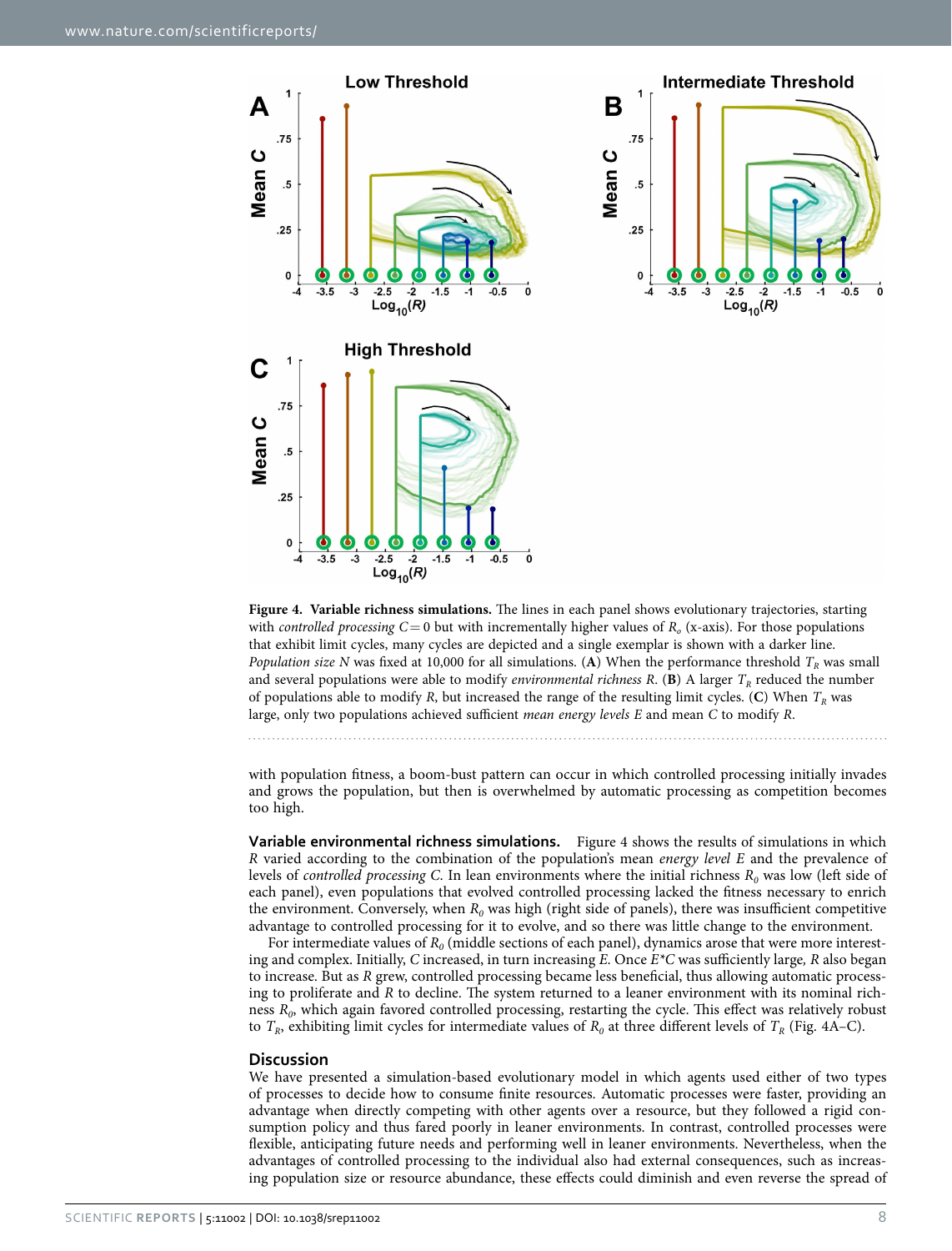

<span id="page-7-0"></span>**Figure 4. Variable richness simulations.** The lines in each panel shows evolutionary trajectories, starting with *controlled processing*  $C = 0$  but with incrementally higher values of  $R_0$  (x-axis). For those populations that exhibit limit cycles, many cycles are depicted and a single exemplar is shown with a darker line. *Population size N* was fixed at 10,000 for all simulations. (**A**) When the performance threshold  $T_R$  was small and several populations were able to modify *environmental richness R*. (B) A larger  $T_R$  reduced the number of populations able to modify *R*, but increased the range of the resulting limit cycles. (**C**) When  $T_R$  was large, only two populations achieved sufficient *mean energy levels E* and mean *C* to modify *R*.

with population fitness, a boom-bust pattern can occur in which controlled processing initially invades and grows the population, but then is overwhelmed by automatic processing as competition becomes too high.

**Variable environmental richness simulations.** [Figure 4](#page-7-0) shows the results of simulations in which *R* varied according to the combination of the population's mean *energy level E* and the prevalence of levels of *controlled processing C*. In lean environments where the initial richness  $R_0$  was low (left side of each panel), even populations that evolved controlled processing lacked the fitness necessary to enrich the environment. Conversely, when  $R_0$  was high (right side of panels), there was insufficient competitive advantage to controlled processing for it to evolve, and so there was little change to the environment.

For intermediate values of *R0* (middle sections of each panel), dynamics arose that were more interesting and complex. Initially, *C* increased, in turn increasing *E*. Once *E\*C* was sufficiently large*, R* also began to increase. But as *R* grew, controlled processing became less beneficial, thus allowing automatic processing to proliferate and *R* to decline. The system returned to a leaner environment with its nominal richness *R0*, which again favored controlled processing, restarting the cycle. This effect was relatively robust to  $T_R$ , exhibiting limit cycles for intermediate values of  $R_0$  at three different levels of  $T_R$  [\(Fig. 4A–C\)](#page-7-0).

#### **Discussion**

We have presented a simulation-based evolutionary model in which agents used either of two types of processes to decide how to consume finite resources. Automatic processes were faster, providing an advantage when directly competing with other agents over a resource, but they followed a rigid consumption policy and thus fared poorly in leaner environments. In contrast, controlled processes were flexible, anticipating future needs and performing well in leaner environments. Nevertheless, when the advantages of controlled processing to the individual also had external consequences, such as increasing population size or resource abundance, these effects could diminish and even reverse the spread of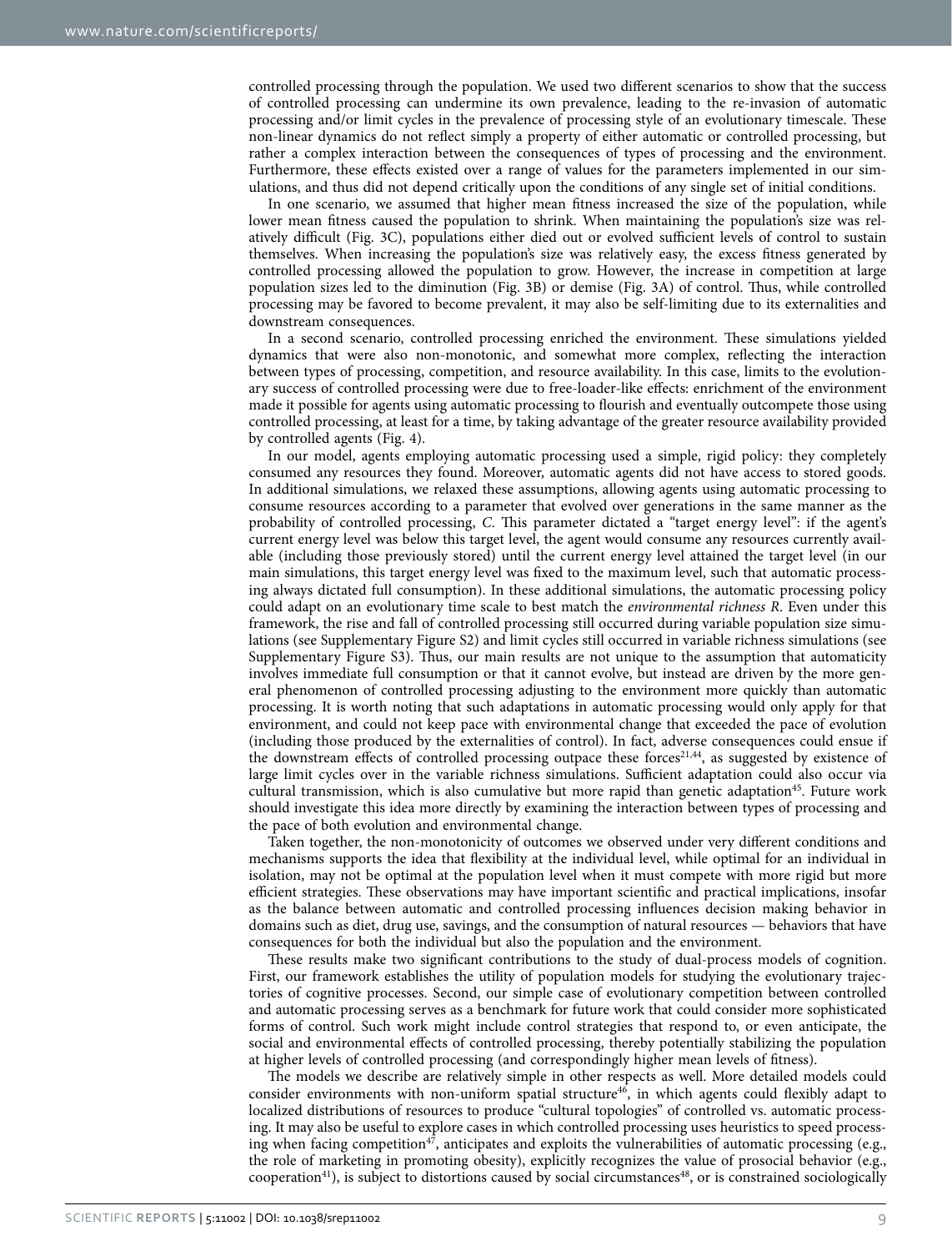controlled processing through the population. We used two different scenarios to show that the success of controlled processing can undermine its own prevalence, leading to the re-invasion of automatic processing and/or limit cycles in the prevalence of processing style of an evolutionary timescale. These non-linear dynamics do not reflect simply a property of either automatic or controlled processing, but rather a complex interaction between the consequences of types of processing and the environment. Furthermore, these effects existed over a range of values for the parameters implemented in our simulations, and thus did not depend critically upon the conditions of any single set of initial conditions.

In one scenario, we assumed that higher mean fitness increased the size of the population, while lower mean fitness caused the population to shrink. When maintaining the population's size was relatively difficult ([Fig. 3C\)](#page-6-0), populations either died out or evolved sufficient levels of control to sustain themselves. When increasing the population's size was relatively easy, the excess fitness generated by controlled processing allowed the population to grow. However, the increase in competition at large population sizes led to the diminution [\(Fig. 3B\)](#page-6-0) or demise [\(Fig. 3A\)](#page-6-0) of control. Thus, while controlled processing may be favored to become prevalent, it may also be self-limiting due to its externalities and downstream consequences.

In a second scenario, controlled processing enriched the environment. These simulations yielded dynamics that were also non-monotonic, and somewhat more complex, reflecting the interaction between types of processing, competition, and resource availability. In this case, limits to the evolutionary success of controlled processing were due to free-loader-like effects: enrichment of the environment made it possible for agents using automatic processing to flourish and eventually outcompete those using controlled processing, at least for a time, by taking advantage of the greater resource availability provided by controlled agents [\(Fig. 4\)](#page-7-0).

In our model, agents employing automatic processing used a simple, rigid policy: they completely consumed any resources they found. Moreover, automatic agents did not have access to stored goods. In additional simulations, we relaxed these assumptions, allowing agents using automatic processing to consume resources according to a parameter that evolved over generations in the same manner as the probability of controlled processing, *C*. This parameter dictated a "target energy level": if the agent's current energy level was below this target level, the agent would consume any resources currently available (including those previously stored) until the current energy level attained the target level (in our main simulations, this target energy level was fixed to the maximum level, such that automatic processing always dictated full consumption). In these additional simulations, the automatic processing policy could adapt on an evolutionary time scale to best match the *environmental richness R*. Even under this framework, the rise and fall of controlled processing still occurred during variable population size simulations (see Supplementary Figure S2) and limit cycles still occurred in variable richness simulations (see Supplementary Figure S3). Thus, our main results are not unique to the assumption that automaticity involves immediate full consumption or that it cannot evolve, but instead are driven by the more general phenomenon of controlled processing adjusting to the environment more quickly than automatic processing. It is worth noting that such adaptations in automatic processing would only apply for that environment, and could not keep pace with environmental change that exceeded the pace of evolution (including those produced by the externalities of control). In fact, adverse consequences could ensue if the downstream effects of controlled processing outpace these forces<sup>[21,](#page-9-8)44</sup>, as suggested by existence of large limit cycles over in the variable richness simulations. Sufficient adaptation could also occur via cultural transmission, which is also cumulative but more rapid than genetic adaptation<sup>45</sup>. Future work should investigate this idea more directly by examining the interaction between types of processing and the pace of both evolution and environmental change.

Taken together, the non-monotonicity of outcomes we observed under very different conditions and mechanisms supports the idea that flexibility at the individual level, while optimal for an individual in isolation, may not be optimal at the population level when it must compete with more rigid but more efficient strategies. These observations may have important scientific and practical implications, insofar as the balance between automatic and controlled processing influences decision making behavior in domains such as diet, drug use, savings, and the consumption of natural resources — behaviors that have consequences for both the individual but also the population and the environment.

These results make two significant contributions to the study of dual-process models of cognition. First, our framework establishes the utility of population models for studying the evolutionary trajectories of cognitive processes. Second, our simple case of evolutionary competition between controlled and automatic processing serves as a benchmark for future work that could consider more sophisticated forms of control. Such work might include control strategies that respond to, or even anticipate, the social and environmental effects of controlled processing, thereby potentially stabilizing the population at higher levels of controlled processing (and correspondingly higher mean levels of fitness).

The models we describe are relatively simple in other respects as well. More detailed models could consider environments with non-uniform spatial structure<sup>46</sup>, in which agents could flexibly adapt to localized distributions of resources to produce "cultural topologies" of controlled vs. automatic processing. It may also be useful to explore cases in which controlled processing uses heuristics to speed processing when facing competition<sup>47</sup>, anticipates and exploits the vulnerabilities of automatic processing (e.g., the role of marketing in promoting obesity), explicitly recognizes the value of prosocial behavior (e.g., cooperation<sup>41</sup>), is subject to distortions caused by social circumstances<sup>48</sup>, or is constrained sociologically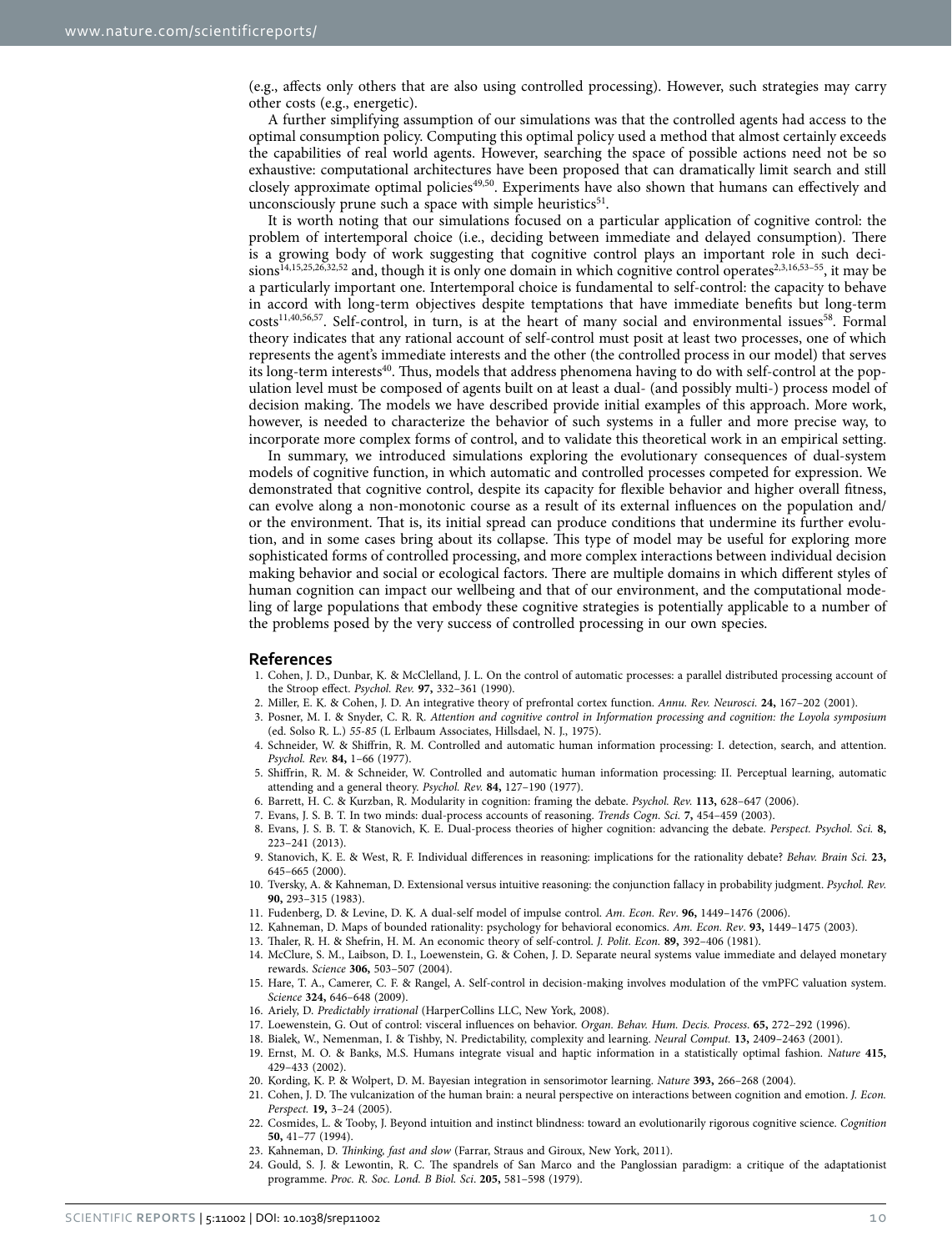(e.g., affects only others that are also using controlled processing). However, such strategies may carry other costs (e.g., energetic).

A further simplifying assumption of our simulations was that the controlled agents had access to the optimal consumption policy. Computing this optimal policy used a method that almost certainly exceeds the capabilities of real world agents. However, searching the space of possible actions need not be so exhaustive: computational architectures have been proposed that can dramatically limit search and still closely approximate optimal policies<sup>[49](#page-10-19)[,50](#page-10-20)</sup>. Experiments have also shown that humans can effectively and unconsciously prune such a space with simple heuristics $51$ .

It is worth noting that our simulations focused on a particular application of cognitive control: the problem of intertemporal choice (i.e., deciding between immediate and delayed consumption). There is a growing body of work suggesting that cognitive control plays an important role in such deci-sions<sup>14[,15](#page-9-4),[25,](#page-10-0)[26](#page-10-1)[,32](#page-10-5),52</sup> and, though it is only one domain in which cognitive control operates<sup>2,[3,](#page-9-10)[16](#page-9-5)[,53–55](#page-10-23)</sup>, it may be a particularly important one. Intertemporal choice is fundamental to self-control: the capacity to behave in accord with long-term objectives despite temptations that have immediate benefits but long-term  $costs<sup>11,40,56,57</sup>$  $costs<sup>11,40,56,57</sup>$  $costs<sup>11,40,56,57</sup>$  $costs<sup>11,40,56,57</sup>$  $costs<sup>11,40,56,57</sup>$ . Self-control, in turn, is at the heart of many social and environmental issues<sup>58</sup>. Formal theory indicates that any rational account of self-control must posit at least two processes, one of which represents the agent's immediate interests and the other (the controlled process in our model) that serves its long-term interests<sup>40</sup>. Thus, models that address phenomena having to do with self-control at the population level must be composed of agents built on at least a dual- (and possibly multi-) process model of decision making. The models we have described provide initial examples of this approach. More work, however, is needed to characterize the behavior of such systems in a fuller and more precise way, to incorporate more complex forms of control, and to validate this theoretical work in an empirical setting.

In summary, we introduced simulations exploring the evolutionary consequences of dual-system models of cognitive function, in which automatic and controlled processes competed for expression. We demonstrated that cognitive control, despite its capacity for flexible behavior and higher overall fitness, can evolve along a non-monotonic course as a result of its external influences on the population and/ or the environment. That is, its initial spread can produce conditions that undermine its further evolution, and in some cases bring about its collapse. This type of model may be useful for exploring more sophisticated forms of controlled processing, and more complex interactions between individual decision making behavior and social or ecological factors. There are multiple domains in which different styles of human cognition can impact our wellbeing and that of our environment, and the computational modeling of large populations that embody these cognitive strategies is potentially applicable to a number of the problems posed by the very success of controlled processing in our own species.

#### **References**

- <span id="page-9-0"></span>1. Cohen, J. D., Dunbar, K. & McClelland, J. L. On the control of automatic processes: a parallel distributed processing account of the Stroop effect. *Psychol. Rev.* **97,** 332–361 (1990).
- <span id="page-9-16"></span>2. Miller, E. K. & Cohen, J. D. An integrative theory of prefrontal cortex function. *Annu. Rev. Neurosci.* **24,** 167–202 (2001).
- <span id="page-9-10"></span>3. Posner, M. I. & Snyder, C. R. R. *Attention and cognitive control in Information processing and cognition: the Loyola symposium* (ed. Solso R. L.) *55-85* (L Erlbaum Associates, Hillsdael, N. J., 1975).
- 4. Schneider, W. & Shiffrin, R. M. Controlled and automatic human information processing: I. detection, search, and attention. *Psychol. Rev.* **84,** 1–66 (1977).
- <span id="page-9-14"></span>5. Shiffrin, R. M. & Schneider, W. Controlled and automatic human information processing: II. Perceptual learning, automatic attending and a general theory. *Psychol. Rev.* **84,** 127–190 (1977).
- 6. Barrett, H. C. & Kurzban, R. Modularity in cognition: framing the debate. *Psychol. Rev.* **113,** 628–647 (2006).
- <span id="page-9-1"></span>7. Evans, J. S. B. T. In two minds: dual-process accounts of reasoning. *Trends Cogn. Sci.* **7,** 454–459 (2003).
- 8. Evans, J. S. B. T. & Stanovich, K. E. Dual-process theories of higher cognition: advancing the debate. *Perspect. Psychol. Sci.* **8,** 223–241 (2013).
- <span id="page-9-15"></span>9. Stanovich, K. E. & West, R. F. Individual differences in reasoning: implications for the rationality debate? *Behav. Brain Sci.* **23,** 645–665 (2000).
- 10. Tversky, A. & Kahneman, D. Extensional versus intuitive reasoning: the conjunction fallacy in probability judgment. *Psychol. Rev.* **90,** 293–315 (1983).
- <span id="page-9-2"></span>11. Fudenberg, D. & Levine, D. K. A dual-self model of impulse control. *Am. Econ. Rev*. **96,** 1449–1476 (2006).
- 12. Kahneman, D. Maps of bounded rationality: psychology for behavioral economics. *Am. Econ. Rev*. **93,** 1449–1475 (2003).
- <span id="page-9-13"></span><span id="page-9-3"></span>13. Thaler, R. H. & Shefrin, H. M. An economic theory of self-control. *J. Polit. Econ.* **89,** 392–406 (1981).
- 14. McClure, S. M., Laibson, D. I., Loewenstein, G. & Cohen, J. D. Separate neural systems value immediate and delayed monetary rewards. *Science* **306,** 503–507 (2004).
- <span id="page-9-4"></span>15. Hare, T. A., Camerer, C. F. & Rangel, A. Self-control in decision-making involves modulation of the vmPFC valuation system. *Science* **324,** 646–648 (2009).
- <span id="page-9-6"></span><span id="page-9-5"></span>16. Ariely, D. *Predictably irrational* (HarperCollins LLC, New York, 2008).
- 17. Loewenstein, G. Out of control: visceral influences on behavior. *Organ. Behav. Hum. Decis. Process*. **65,** 272–292 (1996).
- <span id="page-9-7"></span>18. Bialek, W., Nemenman, I. & Tishby, N. Predictability, complexity and learning. *Neural Comput.* **13,** 2409–2463 (2001).
- 19. Ernst, M. O. & Banks, M.S. Humans integrate visual and haptic information in a statistically optimal fashion. *Nature* **415,** 429–433 (2002).
- <span id="page-9-8"></span>20. Kording, K. P. & Wolpert, D. M. Bayesian integration in sensorimotor learning. *Nature* **393,** 266–268 (2004).
- 21. Cohen, J. D. The vulcanization of the human brain: a neural perspective on interactions between cognition and emotion. *J. Econ. Perspect.* **19,** 3–24 (2005).
- <span id="page-9-9"></span>22. Cosmides, L. & Tooby, J. Beyond intuition and instinct blindness: toward an evolutionarily rigorous cognitive science. *Cognition* **50,** 41–77 (1994).
- <span id="page-9-12"></span><span id="page-9-11"></span>23. Kahneman, D. *Thinking, fast and slow* (Farrar, Straus and Giroux, New York, 2011).
- 24. Gould, S. J. & Lewontin, R. C. The spandrels of San Marco and the Panglossian paradigm: a critique of the adaptationist programme. *Proc. R. Soc. Lond. B Biol. Sci*. **205,** 581–598 (1979).